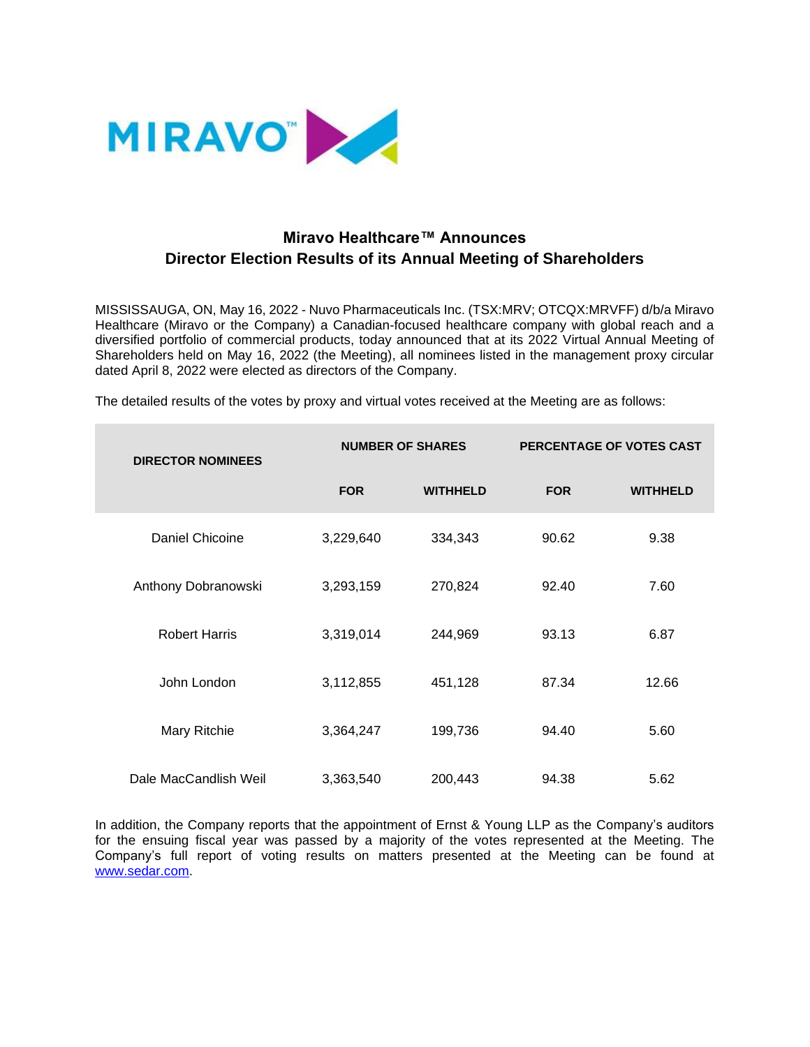

## **Miravo Healthcare™ Announces Director Election Results of its Annual Meeting of Shareholders**

MISSISSAUGA, ON, May 16, 2022 - Nuvo Pharmaceuticals Inc. (TSX:MRV; OTCQX:MRVFF) d/b/a Miravo Healthcare (Miravo or the Company) a Canadian-focused healthcare company with global reach and a diversified portfolio of commercial products, today announced that at its 2022 Virtual Annual Meeting of Shareholders held on May 16, 2022 (the Meeting), all nominees listed in the management proxy circular dated April 8, 2022 were elected as directors of the Company.

The detailed results of the votes by proxy and virtual votes received at the Meeting are as follows:

| <b>DIRECTOR NOMINEES</b> | <b>NUMBER OF SHARES</b> |                 | <b>PERCENTAGE OF VOTES CAST</b> |                 |
|--------------------------|-------------------------|-----------------|---------------------------------|-----------------|
|                          | <b>FOR</b>              | <b>WITHHELD</b> | <b>FOR</b>                      | <b>WITHHELD</b> |
| Daniel Chicoine          | 3,229,640               | 334,343         | 90.62                           | 9.38            |
| Anthony Dobranowski      | 3,293,159               | 270,824         | 92.40                           | 7.60            |
| <b>Robert Harris</b>     | 3,319,014               | 244,969         | 93.13                           | 6.87            |
| John London              | 3,112,855               | 451,128         | 87.34                           | 12.66           |
| Mary Ritchie             | 3,364,247               | 199,736         | 94.40                           | 5.60            |
| Dale MacCandlish Weil    | 3,363,540               | 200,443         | 94.38                           | 5.62            |

In addition, the Company reports that the appointment of Ernst & Young LLP as the Company's auditors for the ensuing fiscal year was passed by a majority of the votes represented at the Meeting. The Company's full report of voting results on matters presented at the Meeting can be found at [www.sedar.com.](https://sedar.com/)